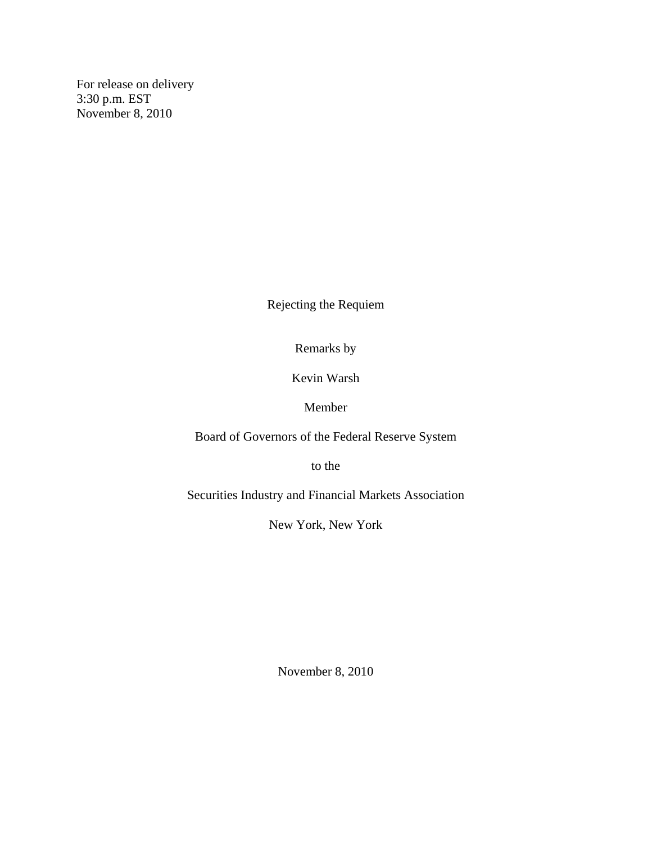For release on delivery 3:30 p.m. EST November 8, 2010

Rejecting the Requiem

Remarks by

Kevin Warsh

Member

Board of Governors of the Federal Reserve System

to the

Securities Industry and Financial Markets Association

New York, New York

November 8, 2010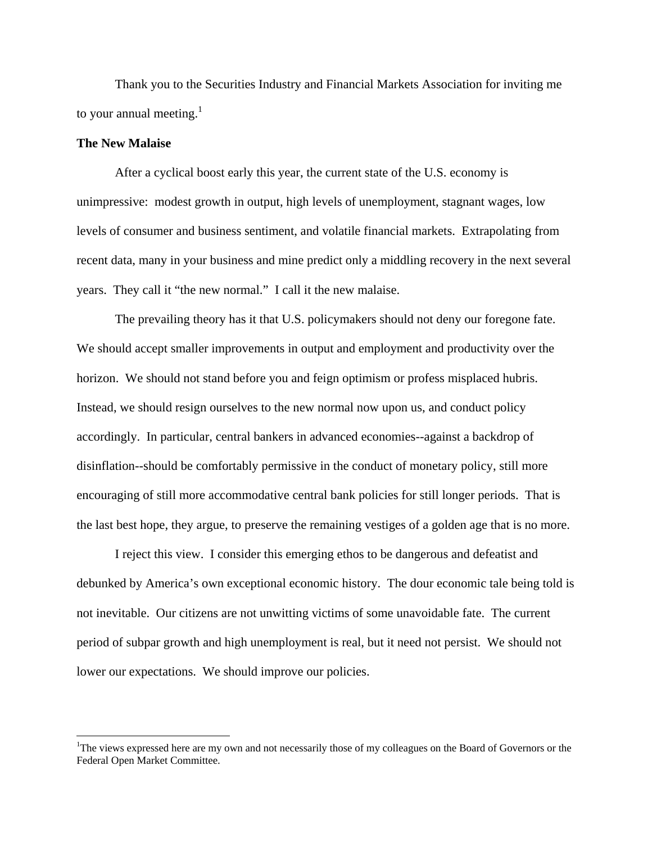Thank you to the Securities Industry and Financial Markets Association for inviting me to your annual meeting. $<sup>1</sup>$ </sup>

## **The New Malaise**

 $\overline{a}$ 

After a cyclical boost early this year, the current state of the U.S. economy is unimpressive: modest growth in output, high levels of unemployment, stagnant wages, low levels of consumer and business sentiment, and volatile financial markets. Extrapolating from recent data, many in your business and mine predict only a middling recovery in the next several years. They call it "the new normal." I call it the new malaise.

The prevailing theory has it that U.S. policymakers should not deny our foregone fate. We should accept smaller improvements in output and employment and productivity over the horizon. We should not stand before you and feign optimism or profess misplaced hubris. Instead, we should resign ourselves to the new normal now upon us, and conduct policy accordingly. In particular, central bankers in advanced economies--against a backdrop of disinflation--should be comfortably permissive in the conduct of monetary policy, still more encouraging of still more accommodative central bank policies for still longer periods. That is the last best hope, they argue, to preserve the remaining vestiges of a golden age that is no more.

I reject this view. I consider this emerging ethos to be dangerous and defeatist and debunked by America's own exceptional economic history. The dour economic tale being told is not inevitable. Our citizens are not unwitting victims of some unavoidable fate. The current period of subpar growth and high unemployment is real, but it need not persist. We should not lower our expectations. We should improve our policies.

<sup>&</sup>lt;sup>1</sup>The views expressed here are my own and not necessarily those of my colleagues on the Board of Governors or the Federal Open Market Committee.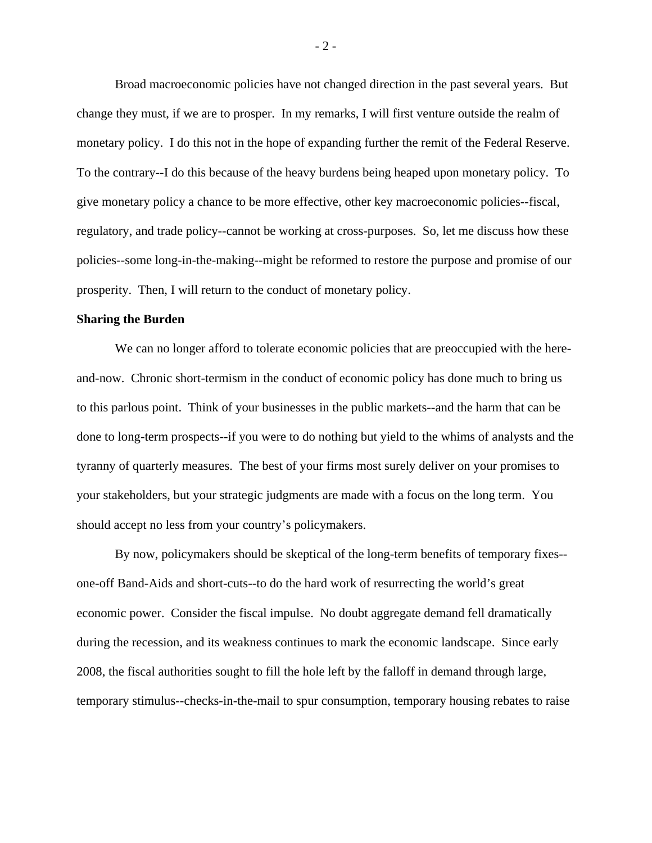Broad macroeconomic policies have not changed direction in the past several years. But change they must, if we are to prosper. In my remarks, I will first venture outside the realm of monetary policy. I do this not in the hope of expanding further the remit of the Federal Reserve. To the contrary--I do this because of the heavy burdens being heaped upon monetary policy. To give monetary policy a chance to be more effective, other key macroeconomic policies--fiscal, regulatory, and trade policy--cannot be working at cross-purposes. So, let me discuss how these policies--some long-in-the-making--might be reformed to restore the purpose and promise of our prosperity. Then, I will return to the conduct of monetary policy.

## **Sharing the Burden**

We can no longer afford to tolerate economic policies that are preoccupied with the hereand-now. Chronic short-termism in the conduct of economic policy has done much to bring us to this parlous point. Think of your businesses in the public markets--and the harm that can be done to long-term prospects--if you were to do nothing but yield to the whims of analysts and the tyranny of quarterly measures. The best of your firms most surely deliver on your promises to your stakeholders, but your strategic judgments are made with a focus on the long term. You should accept no less from your country's policymakers.

By now, policymakers should be skeptical of the long-term benefits of temporary fixes- one-off Band-Aids and short-cuts--to do the hard work of resurrecting the world's great economic power. Consider the fiscal impulse. No doubt aggregate demand fell dramatically during the recession, and its weakness continues to mark the economic landscape. Since early 2008, the fiscal authorities sought to fill the hole left by the falloff in demand through large, temporary stimulus--checks-in-the-mail to spur consumption, temporary housing rebates to raise

- 2 -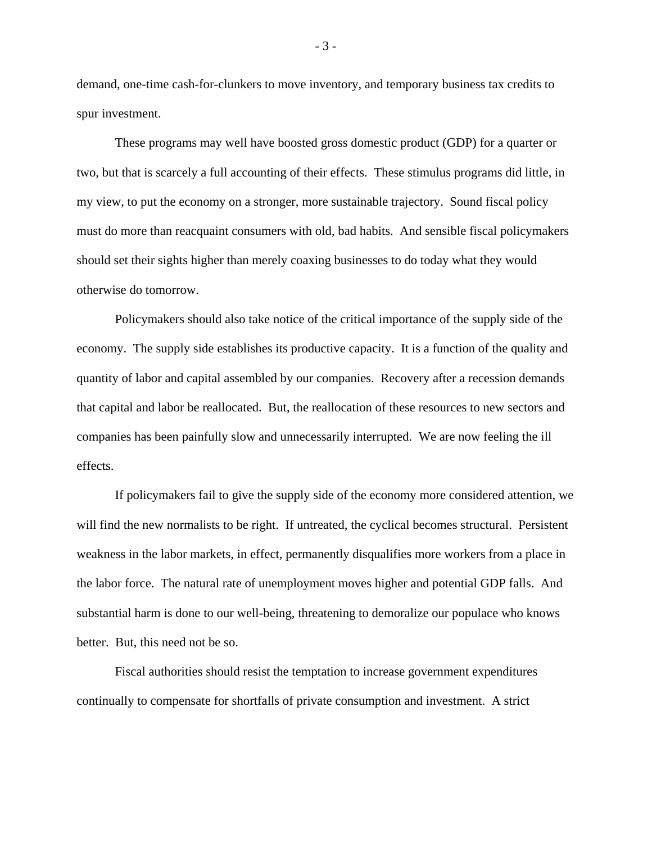demand, one-time cash-for-clunkers to move inventory, and temporary business tax credits to spur investment.

These programs may well have boosted gross domestic product (GDP) for a quarter or two, but that is scarcely a full accounting of their effects. These stimulus programs did little, in my view, to put the economy on a stronger, more sustainable trajectory. Sound fiscal policy must do more than reacquaint consumers with old, bad habits. And sensible fiscal policymakers should set their sights higher than merely coaxing businesses to do today what they would otherwise do tomorrow.

Policymakers should also take notice of the critical importance of the supply side of the economy. The supply side establishes its productive capacity. It is a function of the quality and quantity of labor and capital assembled by our companies. Recovery after a recession demands that capital and labor be reallocated. But, the reallocation of these resources to new sectors and companies has been painfully slow and unnecessarily interrupted. We are now feeling the ill effects.

If policymakers fail to give the supply side of the economy more considered attention, we will find the new normalists to be right. If untreated, the cyclical becomes structural. Persistent weakness in the labor markets, in effect, permanently disqualifies more workers from a place in the labor force. The natural rate of unemployment moves higher and potential GDP falls. And substantial harm is done to our well-being, threatening to demoralize our populace who knows better. But, this need not be so.

Fiscal authorities should resist the temptation to increase government expenditures continually to compensate for shortfalls of private consumption and investment. A strict

- 3 -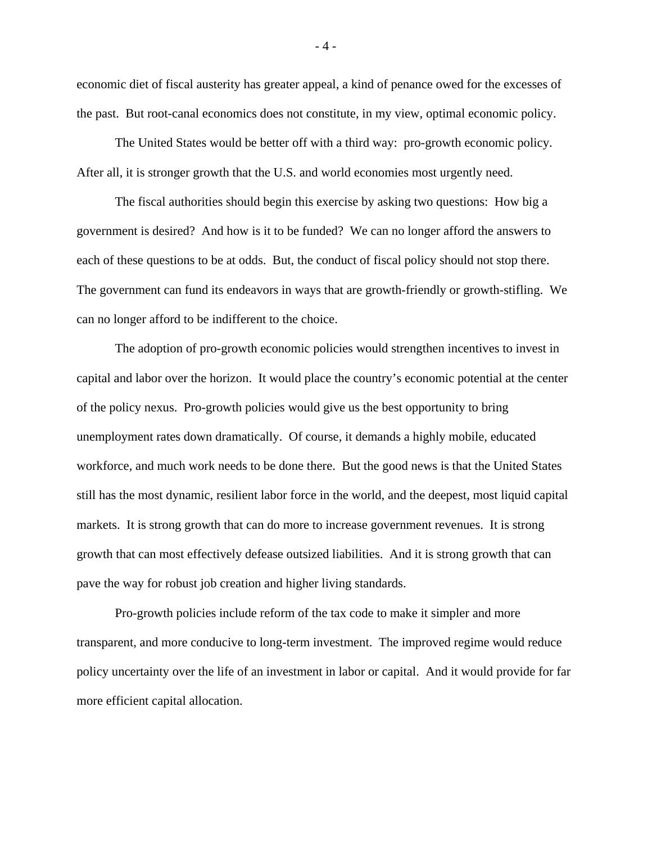economic diet of fiscal austerity has greater appeal, a kind of penance owed for the excesses of the past. But root-canal economics does not constitute, in my view, optimal economic policy.

The United States would be better off with a third way: pro-growth economic policy. After all, it is stronger growth that the U.S. and world economies most urgently need.

The fiscal authorities should begin this exercise by asking two questions: How big a government is desired? And how is it to be funded? We can no longer afford the answers to each of these questions to be at odds. But, the conduct of fiscal policy should not stop there. The government can fund its endeavors in ways that are growth-friendly or growth-stifling. We can no longer afford to be indifferent to the choice.

The adoption of pro-growth economic policies would strengthen incentives to invest in capital and labor over the horizon. It would place the country's economic potential at the center of the policy nexus. Pro-growth policies would give us the best opportunity to bring unemployment rates down dramatically. Of course, it demands a highly mobile, educated workforce, and much work needs to be done there. But the good news is that the United States still has the most dynamic, resilient labor force in the world, and the deepest, most liquid capital markets. It is strong growth that can do more to increase government revenues. It is strong growth that can most effectively defease outsized liabilities. And it is strong growth that can pave the way for robust job creation and higher living standards.

Pro-growth policies include reform of the tax code to make it simpler and more transparent, and more conducive to long-term investment. The improved regime would reduce policy uncertainty over the life of an investment in labor or capital. And it would provide for far more efficient capital allocation.

- 4 -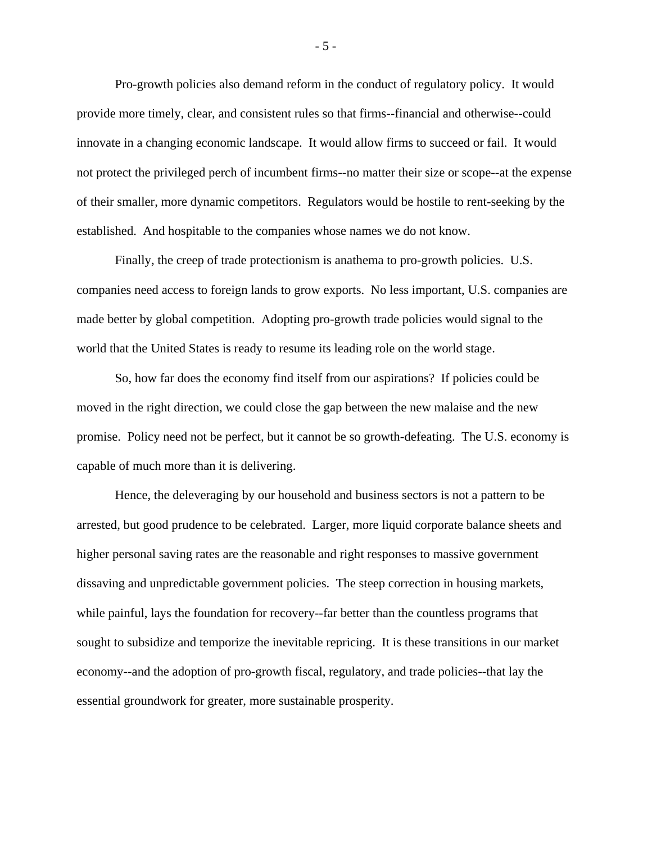Pro-growth policies also demand reform in the conduct of regulatory policy. It would provide more timely, clear, and consistent rules so that firms--financial and otherwise--could innovate in a changing economic landscape. It would allow firms to succeed or fail. It would not protect the privileged perch of incumbent firms--no matter their size or scope--at the expense of their smaller, more dynamic competitors. Regulators would be hostile to rent-seeking by the established. And hospitable to the companies whose names we do not know.

Finally, the creep of trade protectionism is anathema to pro-growth policies. U.S. companies need access to foreign lands to grow exports. No less important, U.S. companies are made better by global competition. Adopting pro-growth trade policies would signal to the world that the United States is ready to resume its leading role on the world stage.

So, how far does the economy find itself from our aspirations? If policies could be moved in the right direction, we could close the gap between the new malaise and the new promise. Policy need not be perfect, but it cannot be so growth-defeating. The U.S. economy is capable of much more than it is delivering.

Hence, the deleveraging by our household and business sectors is not a pattern to be arrested, but good prudence to be celebrated. Larger, more liquid corporate balance sheets and higher personal saving rates are the reasonable and right responses to massive government dissaving and unpredictable government policies. The steep correction in housing markets, while painful, lays the foundation for recovery--far better than the countless programs that sought to subsidize and temporize the inevitable repricing. It is these transitions in our market economy--and the adoption of pro-growth fiscal, regulatory, and trade policies--that lay the essential groundwork for greater, more sustainable prosperity.

- 5 -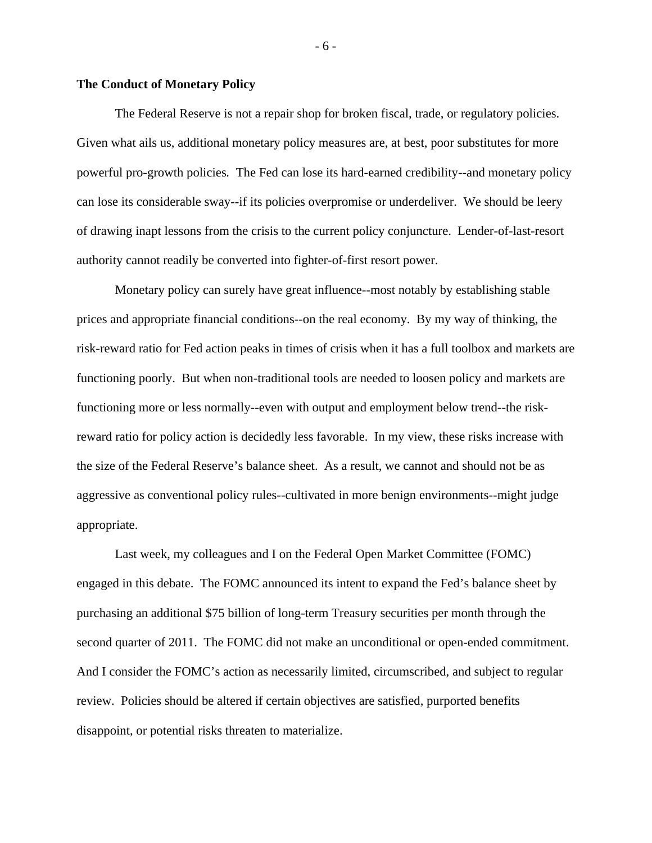## **The Conduct of Monetary Policy**

The Federal Reserve is not a repair shop for broken fiscal, trade, or regulatory policies. Given what ails us, additional monetary policy measures are, at best, poor substitutes for more powerful pro-growth policies*.* The Fed can lose its hard-earned credibility--and monetary policy can lose its considerable sway--if its policies overpromise or underdeliver. We should be leery of drawing inapt lessons from the crisis to the current policy conjuncture. Lender-of-last-resort authority cannot readily be converted into fighter-of-first resort power.

Monetary policy can surely have great influence--most notably by establishing stable prices and appropriate financial conditions--on the real economy. By my way of thinking, the risk-reward ratio for Fed action peaks in times of crisis when it has a full toolbox and markets are functioning poorly. But when non-traditional tools are needed to loosen policy and markets are functioning more or less normally--even with output and employment below trend--the riskreward ratio for policy action is decidedly less favorable. In my view, these risks increase with the size of the Federal Reserve's balance sheet. As a result, we cannot and should not be as aggressive as conventional policy rules--cultivated in more benign environments--might judge appropriate.

Last week, my colleagues and I on the Federal Open Market Committee (FOMC) engaged in this debate. The FOMC announced its intent to expand the Fed's balance sheet by purchasing an additional \$75 billion of long-term Treasury securities per month through the second quarter of 2011. The FOMC did not make an unconditional or open-ended commitment. And I consider the FOMC's action as necessarily limited, circumscribed, and subject to regular review. Policies should be altered if certain objectives are satisfied, purported benefits disappoint, or potential risks threaten to materialize.

- 6 -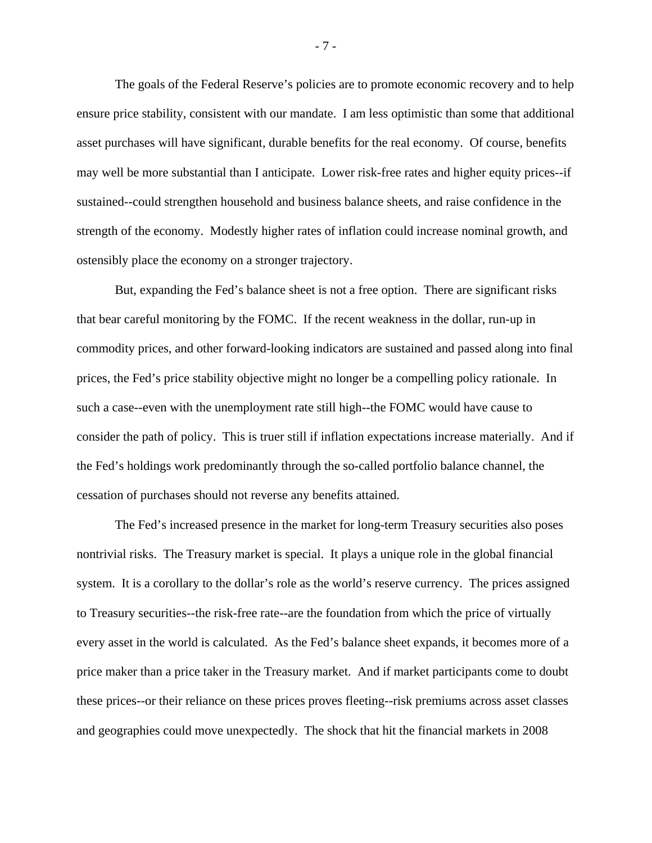The goals of the Federal Reserve's policies are to promote economic recovery and to help ensure price stability, consistent with our mandate. I am less optimistic than some that additional asset purchases will have significant, durable benefits for the real economy. Of course, benefits may well be more substantial than I anticipate. Lower risk-free rates and higher equity prices--if sustained--could strengthen household and business balance sheets, and raise confidence in the strength of the economy. Modestly higher rates of inflation could increase nominal growth, and ostensibly place the economy on a stronger trajectory.

But, expanding the Fed's balance sheet is not a free option. There are significant risks that bear careful monitoring by the FOMC. If the recent weakness in the dollar, run-up in commodity prices, and other forward-looking indicators are sustained and passed along into final prices, the Fed's price stability objective might no longer be a compelling policy rationale. In such a case--even with the unemployment rate still high--the FOMC would have cause to consider the path of policy. This is truer still if inflation expectations increase materially. And if the Fed's holdings work predominantly through the so-called portfolio balance channel, the cessation of purchases should not reverse any benefits attained.

The Fed's increased presence in the market for long-term Treasury securities also poses nontrivial risks. The Treasury market is special. It plays a unique role in the global financial system. It is a corollary to the dollar's role as the world's reserve currency. The prices assigned to Treasury securities--the risk-free rate--are the foundation from which the price of virtually every asset in the world is calculated. As the Fed's balance sheet expands, it becomes more of a price maker than a price taker in the Treasury market. And if market participants come to doubt these prices--or their reliance on these prices proves fleeting--risk premiums across asset classes and geographies could move unexpectedly. The shock that hit the financial markets in 2008

- 7 -